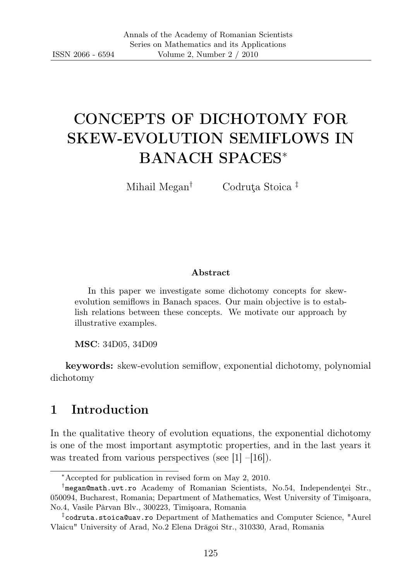# CONCEPTS OF DICHOTOMY FOR SKEW-EVOLUTION SEMIFLOWS IN BANACH SPACES<sup>∗</sup>

Mihail Megan<sup>†</sup> Codruta Stoica<sup>†</sup>

#### Abstract

In this paper we investigate some dichotomy concepts for skewevolution semiflows in Banach spaces. Our main objective is to establish relations between these concepts. We motivate our approach by illustrative examples.

MSC: 34D05, 34D09

keywords: skew-evolution semiflow, exponential dichotomy, polynomial dichotomy

## 1 Introduction

In the qualitative theory of evolution equations, the exponential dichotomy is one of the most important asymptotic properties, and in the last years it was treated from various perspectives (see  $[1]$  –[16]).

<sup>∗</sup>Accepted for publication in revised form on May 2, 2010.

<sup>†</sup> megan@math.uvt.ro Academy of Romanian Scientists, No.54, Independenţei Str., 050094, Bucharest, Romania; Department of Mathematics, West University of Timişoara, No.4, Vasile Pârvan Blv., 300223, Timişoara, Romania

<sup>‡</sup> codruta.stoica@uav.ro Department of Mathematics and Computer Science, "Aurel Vlaicu" University of Arad, No.2 Elena Drăgoi Str., 310330, Arad, Romania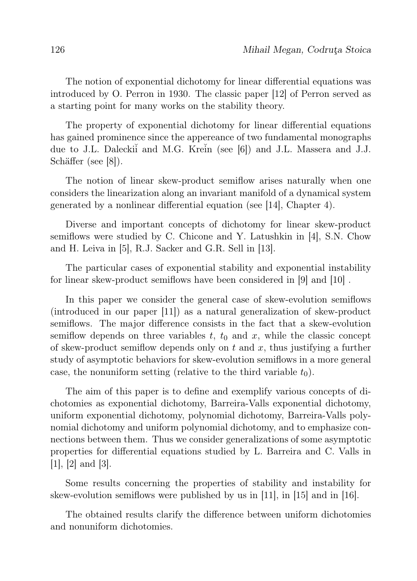The notion of exponential dichotomy for linear differential equations was introduced by O. Perron in 1930. The classic paper [12] of Perron served as a starting point for many works on the stability theory.

The property of exponential dichotomy for linear differential equations has gained prominence since the appereance of two fundamental monographs due to J.L. Daleckit and M.G. Krein (see [6]) and J.L. Massera and J.J. Schäffer (see [8]).

The notion of linear skew-product semiflow arises naturally when one considers the linearization along an invariant manifold of a dynamical system generated by a nonlinear differential equation (see [14], Chapter 4).

Diverse and important concepts of dichotomy for linear skew-product semiflows were studied by C. Chicone and Y. Latushkin in [4], S.N. Chow and H. Leiva in [5], R.J. Sacker and G.R. Sell in [13].

The particular cases of exponential stability and exponential instability for linear skew-product semiflows have been considered in [9] and [10] .

In this paper we consider the general case of skew-evolution semiflows (introduced in our paper [11]) as a natural generalization of skew-product semiflows. The major difference consists in the fact that a skew-evolution semiflow depends on three variables t,  $t_0$  and x, while the classic concept of skew-product semiflow depends only on t and x, thus justifying a further study of asymptotic behaviors for skew-evolution semiflows in a more general case, the nonuniform setting (relative to the third variable  $t_0$ ).

The aim of this paper is to define and exemplify various concepts of dichotomies as exponential dichotomy, Barreira-Valls exponential dichotomy, uniform exponential dichotomy, polynomial dichotomy, Barreira-Valls polynomial dichotomy and uniform polynomial dichotomy, and to emphasize connections between them. Thus we consider generalizations of some asymptotic properties for differential equations studied by L. Barreira and C. Valls in [1], [2] and [3].

Some results concerning the properties of stability and instability for skew-evolution semiflows were published by us in [11], in [15] and in [16].

The obtained results clarify the difference between uniform dichotomies and nonuniform dichotomies.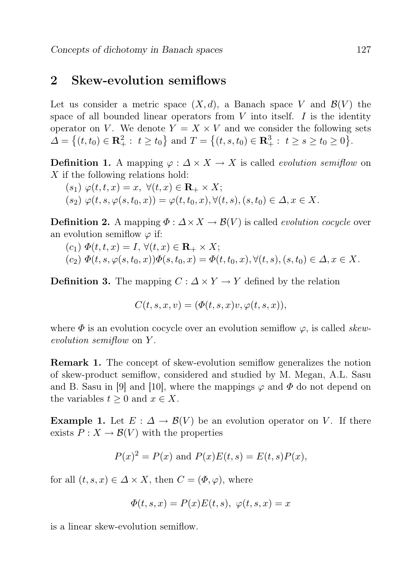#### 2 Skew-evolution semiflows

Let us consider a metric space  $(X, d)$ , a Banach space V and  $\mathcal{B}(V)$  the space of all bounded linear operators from  $V$  into itself.  $I$  is the identity operator on V. We denote  $Y = X \times V$  and we consider the following sets  $\Delta = \{(t, t_0) \in \mathbb{R}_+^2 : t \ge t_0\}$  and  $T = \{(t, s, t_0) \in \mathbb{R}_+^3 : t \ge s \ge t_0 \ge 0\}.$ 

**Definition 1.** A mapping  $\varphi : \Delta \times X \to X$  is called *evolution semiflow* on  $X$  if the following relations hold:

$$
(s_1) \varphi(t, t, x) = x, \ \forall (t, x) \in \mathbf{R}_+ \times X; (s_2) \varphi(t, s, \varphi(s, t_0, x)) = \varphi(t, t_0, x), \forall (t, s), (s, t_0) \in \Delta, x \in X.
$$

**Definition 2.** A mapping  $\Phi : \Delta \times X \to \mathcal{B}(V)$  is called *evolution cocycle* over an evolution semiflow  $\varphi$  if:

$$
(c_1) \ \Phi(t, t, x) = I, \ \forall (t, x) \in \mathbf{R}_+ \times X; (c_2) \ \Phi(t, s, \varphi(s, t_0, x)) \Phi(s, t_0, x) = \Phi(t, t_0, x), \forall (t, s), (s, t_0) \in \Delta, x \in X.
$$

**Definition 3.** The mapping  $C: \Delta \times Y \rightarrow Y$  defined by the relation

$$
C(t, s, x, v) = (\Phi(t, s, x)v, \varphi(t, s, x)),
$$

where  $\Phi$  is an evolution cocycle over an evolution semiflow  $\varphi$ , is called *skew*evolution semiflow on Y .

Remark 1. The concept of skew-evolution semiflow generalizes the notion of skew-product semiflow, considered and studied by M. Megan, A.L. Sasu and B. Sasu in [9] and [10], where the mappings  $\varphi$  and  $\Phi$  do not depend on the variables  $t > 0$  and  $x \in X$ .

**Example 1.** Let  $E : \Delta \to \mathcal{B}(V)$  be an evolution operator on V. If there exists  $P: X \to \mathcal{B}(V)$  with the properties

$$
P(x)^{2} = P(x)
$$
 and  $P(x)E(t, s) = E(t, s)P(x)$ ,

for all  $(t, s, x) \in \Delta \times X$ , then  $C = (\Phi, \varphi)$ , where

$$
\Phi(t,s,x) = P(x)E(t,s), \varphi(t,s,x) = x
$$

is a linear skew-evolution semiflow.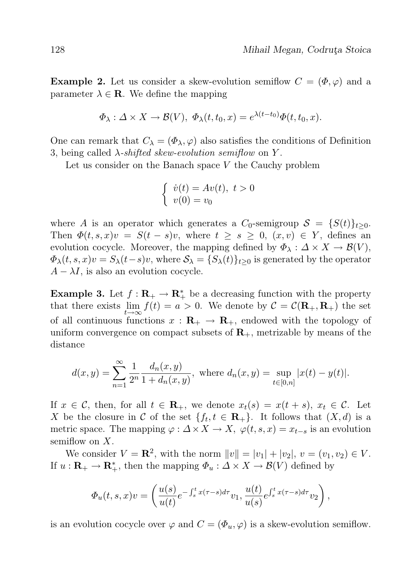**Example 2.** Let us consider a skew-evolution semiflow  $C = (\Phi, \varphi)$  and a parameter  $\lambda \in \mathbf{R}$ . We define the mapping

$$
\Phi_{\lambda}: \Delta \times X \to \mathcal{B}(V), \ \Phi_{\lambda}(t,t_0,x) = e^{\lambda(t-t_0)} \Phi(t,t_0,x).
$$

One can remark that  $C_{\lambda} = (\Phi_{\lambda}, \varphi)$  also satisfies the conditions of Definition 3, being called  $\lambda$ -shifted skew-evolution semiflow on Y.

Let us consider on the Banach space V the Cauchy problem

$$
\begin{cases} \dot{v}(t) = Av(t), \ t > 0 \\ v(0) = v_0 \end{cases}
$$

where A is an operator which generates a  $C_0$ -semigroup  $S = \{S(t)\}_{t>0}$ . Then  $\Phi(t, s, x)v = S(t - s)v$ , where  $t \geq s \geq 0$ ,  $(x, v) \in Y$ , defines an evolution cocycle. Moreover, the mapping defined by  $\Phi_{\lambda}: \Delta \times X \to \mathcal{B}(V)$ ,  $\Phi_{\lambda}(t, s, x)v = S_{\lambda}(t-s)v$ , where  $S_{\lambda} = \{S_{\lambda}(t)\}_{t>0}$  is generated by the operator  $A - \lambda I$ , is also an evolution cocycle.

**Example 3.** Let  $f: \mathbf{R}_{+} \to \mathbf{R}_{+}^{*}$  be a decreasing function with the property that there exists  $\lim_{t\to\infty} f(t) = a > 0$ . We denote by  $C = C(\mathbf{R}_+, \mathbf{R}_+)$  the set of all continuous functions  $x : \mathbf{R}_{+} \to \mathbf{R}_{+}$ , endowed with the topology of uniform convergence on compact subsets of  $\mathbf{R}_{+}$ , metrizable by means of the distance

$$
d(x,y) = \sum_{n=1}^{\infty} \frac{1}{2^n} \frac{d_n(x,y)}{1 + d_n(x,y)},
$$
 where  $d_n(x,y) = \sup_{t \in [0,n]} |x(t) - y(t)|.$ 

If  $x \in \mathcal{C}$ , then, for all  $t \in \mathbf{R}_+$ , we denote  $x_t(s) = x(t+s)$ ,  $x_t \in \mathcal{C}$ . Let X be the closure in C of the set  $\{f_t, t \in \mathbf{R}_+\}$ . It follows that  $(X, d)$  is a metric space. The mapping  $\varphi : \Delta \times X \to X$ ,  $\varphi(t, s, x) = x_{t-s}$  is an evolution semiflow on  $X$ .

We consider  $V = \mathbb{R}^2$ , with the norm  $||v|| = |v_1| + |v_2|$ ,  $v = (v_1, v_2) \in V$ . If  $u: \mathbf{R}_{+} \to \mathbf{R}_{+}^{*}$ , then the mapping  $\Phi_{u}: \Delta \times X \to \mathcal{B}(V)$  defined by

$$
\Phi_u(t,s,x)v = \left(\frac{u(s)}{u(t)}e^{-\int_s^t x(\tau-s)d\tau}v_1, \frac{u(t)}{u(s)}e^{\int_s^t x(\tau-s)d\tau}v_2\right),\,
$$

is an evolution cocycle over  $\varphi$  and  $C = (\Phi_u, \varphi)$  is a skew-evolution semiflow.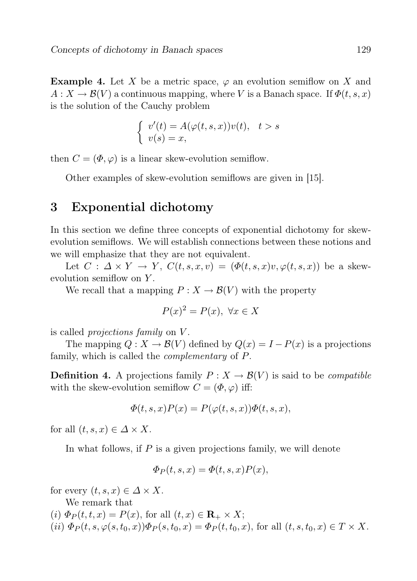**Example 4.** Let X be a metric space,  $\varphi$  an evolution semiflow on X and  $A: X \to \mathcal{B}(V)$  a continuous mapping, where V is a Banach space. If  $\Phi(t, s, x)$ is the solution of the Cauchy problem

$$
\begin{cases}\nv'(t) = A(\varphi(t, s, x))v(t), & t > s \\
v(s) = x,\n\end{cases}
$$

then  $C = (\Phi, \varphi)$  is a linear skew-evolution semiflow.

Other examples of skew-evolution semiflows are given in [15].

## 3 Exponential dichotomy

In this section we define three concepts of exponential dichotomy for skewevolution semiflows. We will establish connections between these notions and we will emphasize that they are not equivalent.

Let  $C: \Delta \times Y \to Y$ ,  $C(t, s, x, v) = (\Phi(t, s, x)v, \varphi(t, s, x))$  be a skewevolution semiflow on  $Y$ .

We recall that a mapping  $P: X \to \mathcal{B}(V)$  with the property

$$
P(x)^2 = P(x), \ \forall x \in X
$$

is called *projections* family on V.

The mapping  $Q: X \to \mathcal{B}(V)$  defined by  $Q(x) = I - P(x)$  is a projections family, which is called the complementary of P.

**Definition 4.** A projections family  $P: X \to \mathcal{B}(V)$  is said to be *compatible* with the skew-evolution semiflow  $C = (\Phi, \varphi)$  iff:

$$
\Phi(t,s,x)P(x) = P(\varphi(t,s,x))\Phi(t,s,x),
$$

for all  $(t, s, x) \in \Delta \times X$ .

In what follows, if  $P$  is a given projections family, we will denote

$$
\Phi_P(t,s,x) = \Phi(t,s,x)P(x),
$$

for every  $(t, s, x) \in \Delta \times X$ .

We remark that

- (i)  $\Phi_P(t,t,x) = P(x)$ , for all  $(t,x) \in \mathbf{R}_+ \times X$ ;
- (ii)  $\Phi_P(t, s, \varphi(s, t_0, x))\Phi_P(s, t_0, x) = \Phi_P(t, t_0, x)$ , for all  $(t, s, t_0, x) \in T \times X$ .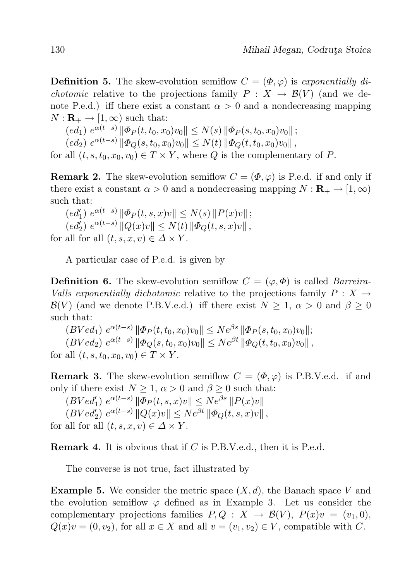**Definition 5.** The skew-evolution semiflow  $C = (\Phi, \varphi)$  is exponentially di*chotomic* relative to the projections family  $P: X \to \mathcal{B}(V)$  (and we denote P.e.d.) iff there exist a constant  $\alpha > 0$  and a nondecreasing mapping  $N: \mathbf{R}_{+} \to [1, \infty)$  such that:

$$
\begin{aligned} (ed_1) \ e^{\alpha(t-s)} \|\Phi_P(t,t_0,x_0)v_0\| &\le N(s) \|\Phi_P(s,t_0,x_0)v_0\| \, ; \\ (ed_2) \ e^{\alpha(t-s)} \|\Phi_Q(s,t_0,x_0)v_0\| &\le N(t) \|\Phi_Q(t,t_0,x_0)v_0\| \, , \end{aligned}
$$

for all  $(t, s, t_0, x_0, v_0) \in T \times Y$ , where Q is the complementary of P.

**Remark 2.** The skew-evolution semiflow  $C = (\Phi, \varphi)$  is P.e.d. if and only if there exist a constant  $\alpha > 0$  and a nondecreasing mapping  $N : \mathbf{R}_{+} \to [1, \infty)$ such that:

$$
(ed'_1) \ e^{\alpha(t-s)} \|\Phi_P(t,s,x)v\| \le N(s) \|P(x)v\| \, ;
$$
  
\n
$$
(ed'_2) \ e^{\alpha(t-s)} \|Q(x)v\| \le N(t) \| \Phi_Q(t,s,x)v\| \, ,
$$
  
\nfor all for all  $(t,s,x,v) \in \Delta \times Y$ .

A particular case of P.e.d. is given by

**Definition 6.** The skew-evolution semiflow  $C = (\varphi, \Phi)$  is called *Barreira*-Valls exponentially dichotomic relative to the projections family  $P: X \rightarrow$  $\mathcal{B}(V)$  (and we denote P.B.V.e.d.) iff there exist  $N \geq 1$ ,  $\alpha > 0$  and  $\beta \geq 0$ such that:

$$
(BVed_1) e^{\alpha(t-s)} \|\Phi_P(t, t_0, x_0)v_0\| \le N e^{\beta s} \|\Phi_P(s, t_0, x_0)v_0\|;
$$
  
\n
$$
(BVed_2) e^{\alpha(t-s)} \|\Phi_Q(s, t_0, x_0)v_0\| \le N e^{\beta t} \|\Phi_Q(t, t_0, x_0)v_0\|,
$$
  
\nfor all  $(t, s, t_0, x_0, v_0) \in T \times Y.$ 

**Remark 3.** The skew-evolution semiflow  $C = (\Phi, \varphi)$  is P.B.V.e.d. if and only if there exist  $N > 1$ ,  $\alpha > 0$  and  $\beta > 0$  such that:

 $(BVed'_1) e^{\alpha(t-s)} \|\Phi_P(t,s,x)v\| \leq N e^{\beta s} \|P(x)v\|$  $(BVed'_2) e^{\alpha(t-s)} \|Q(x)v\| \leq Ne^{\beta t} \|\Phi_Q(t,s,x)v\|$ , for all for all  $(t, s, x, v) \in \Delta \times Y$ .

**Remark 4.** It is obvious that if  $C$  is P.B.V.e.d., then it is P.e.d.

The converse is not true, fact illustrated by

**Example 5.** We consider the metric space  $(X, d)$ , the Banach space V and the evolution semiflow  $\varphi$  defined as in Example 3. Let us consider the complementary projections families  $P, Q : X \rightarrow \mathcal{B}(V), P(x)v = (v_1, 0),$  $Q(x)v = (0, v_2)$ , for all  $x \in X$  and all  $v = (v_1, v_2) \in V$ , compatible with C.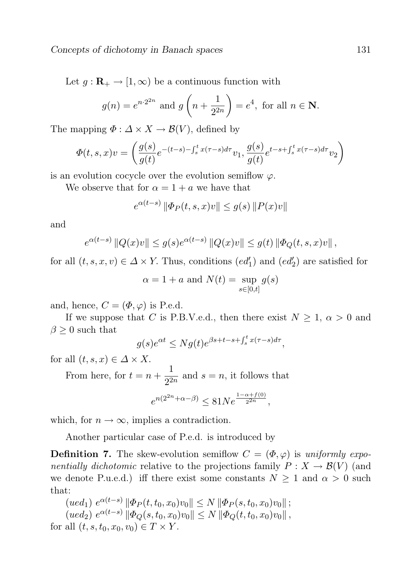Let  $g: \mathbf{R}_{+} \to [1, \infty)$  be a continuous function with

$$
g(n) = e^{n \cdot 2^{2n}}
$$
 and  $g\left(n + \frac{1}{2^{2n}}\right) = e^4$ , for all  $n \in \mathbb{N}$ .

The mapping  $\Phi: \Delta \times X \to \mathcal{B}(V)$ , defined by

$$
\Phi(t,s,x)v = \left(\frac{g(s)}{g(t)}e^{-(t-s)-\int_{s}^{t} x(\tau-s)d\tau}v_1, \frac{g(s)}{g(t)}e^{t-s+\int_{s}^{t} x(\tau-s)d\tau}v_2\right)
$$

is an evolution cocycle over the evolution semiflow  $\varphi$ .

We observe that for  $\alpha = 1 + a$  we have that

$$
e^{\alpha(t-s)} \|\Phi_P(t,s,x)v\| \le g(s) \|P(x)v\|
$$

and

$$
e^{\alpha(t-s)} \|Q(x)v\| \le g(s)e^{\alpha(t-s)} \|Q(x)v\| \le g(t) \|\Phi_Q(t,s,x)v\|,
$$

for all  $(t, s, x, v) \in \Delta \times Y$ . Thus, conditions  $(ed'_1)$  and  $(ed'_2)$  are satisfied for

$$
\alpha = 1 + a \text{ and } N(t) = \sup_{s \in [0,t]} g(s)
$$

and, hence,  $C = (\Phi, \varphi)$  is P.e.d.

If we suppose that C is P.B.V.e.d., then there exist  $N \geq 1$ ,  $\alpha > 0$  and  $\beta \geq 0$  such that

$$
g(s)e^{\alpha t} \le Ng(t)e^{\beta s + t - s + \int_s^t x(\tau - s)d\tau},
$$

for all  $(t, s, x) \in \Delta \times X$ .

From here, for  $t = n + \frac{1}{2}$  $\frac{1}{2^{2n}}$  and  $s = n$ , it follows that

$$
e^{n(2^{2n} + \alpha - \beta)} \le 81N e^{\frac{1 - \alpha + f(0)}{2^{2n}}},
$$

which, for  $n \to \infty$ , implies a contradiction.

Another particular case of P.e.d. is introduced by

**Definition 7.** The skew-evolution semiflow  $C = (\Phi, \varphi)$  is uniformly exponentially dichotomic relative to the projections family  $P: X \to \mathcal{B}(V)$  (and we denote P.u.e.d.) iff there exist some constants  $N \geq 1$  and  $\alpha > 0$  such that:

$$
(ued_1) e^{\alpha(t-s)} \|\Phi_P(t, t_0, x_0)v_0\| \le N \|\Phi_P(s, t_0, x_0)v_0\|;
$$
  
\n
$$
(ued_2) e^{\alpha(t-s)} \|\Phi_Q(s, t_0, x_0)v_0\| \le N \|\Phi_Q(t, t_0, x_0)v_0\|,
$$
  
\nfor all  $(t, s, t_0, x_0, v_0) \in T \times Y.$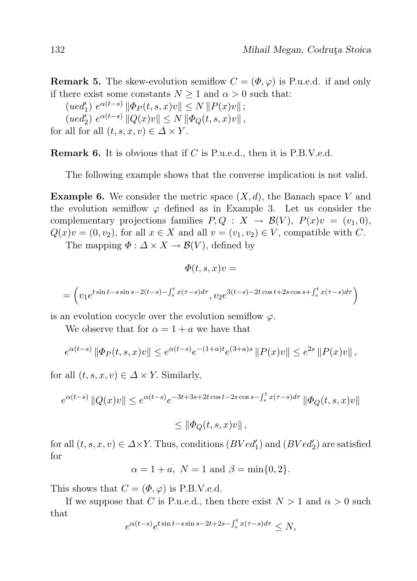**Remark 5.** The skew-evolution semiflow  $C = (\Phi, \varphi)$  is P.u.e.d. if and only if there exist some constants  $N \geq 1$  and  $\alpha > 0$  such that:

 $(ued'_1) e^{\alpha(t-s)} \|\Phi_P(t,s,x)v\| \le N \, \|P(x)v\|$ ;  $(ued'_2) e^{\alpha(t-s)} \|Q(x)v\| \le N \| \Phi_Q(t, s, x)v\|,$ for all for all  $(t, s, x, v) \in \Delta \times Y$ .

**Remark 6.** It is obvious that if  $C$  is P.u.e.d., then it is P.B.V.e.d.

The following example shows that the converse implication is not valid.

**Example 6.** We consider the metric space  $(X, d)$ , the Banach space V and the evolution semiflow  $\varphi$  defined as in Example 3. Let us consider the complementary projections families  $P, Q : X \rightarrow \mathcal{B}(V)$ ,  $P(x)v = (v_1, 0)$ ,  $Q(x)v = (0, v_2)$ , for all  $x \in X$  and all  $v = (v_1, v_2) \in V$ , compatible with C.

The mapping  $\Phi: \Delta \times X \to \mathcal{B}(V)$ , defined by

$$
\varPhi(t,s,x)v =
$$

$$
= \left( v_1 e^{t \sin t - s \sin s - 2(t - s) - \int_s^t x(\tau - s) d\tau}, v_2 e^{3(t - s) - 2t \cos t + 2s \cos s + \int_s^t x(\tau - s) d\tau} \right)
$$

is an evolution cocycle over the evolution semiflow  $\varphi$ .

We observe that for  $\alpha = 1 + a$  we have that

$$
e^{\alpha(t-s)} \|\Phi_P(t,s,x)v\| \le e^{\alpha(t-s)} e^{-(1+a)t} e^{(3+a)s} \|P(x)v\| \le e^{2s} \|P(x)v\|,
$$

for all  $(t, s, x, v) \in \Delta \times Y$ . Similarly,

$$
e^{\alpha(t-s)} \|Q(x)v\| \le e^{\alpha(t-s)} e^{-3t+3s+2t \cos t - 2s \cos s - \int_s^t x(\tau-s) d\tau} \|\Phi_Q(t,s,x)v\|
$$

$$
\leq \|\Phi_Q(t,s,x)v\| \,,
$$

for all  $(t, s, x, v) \in \Delta \times Y$ . Thus, conditions  $(BVe d_1')$  and  $(BVe d_2')$  are satisfied for

 $\alpha = 1 + a$ ,  $N = 1$  and  $\beta = \min\{0, 2\}.$ 

This shows that  $C = (\Phi, \varphi)$  is P.B.V.e.d.

If we suppose that C is P.u.e.d., then there exist  $N > 1$  and  $\alpha > 0$  such that

$$
e^{\alpha(t-s)}e^{t\sin t-s\sin s-2t+2s-\int_s^t x(\tau-s)d\tau}\leq N,
$$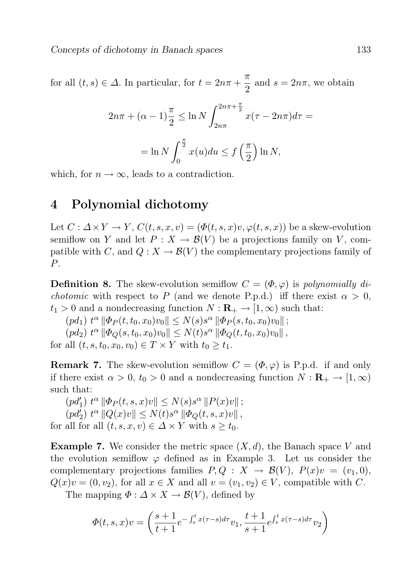for all  $(t, s) \in \Delta$ . In particular, for  $t = 2n\pi + \frac{\pi}{2}$  $\frac{\pi}{2}$  and  $s = 2n\pi$ , we obtain

$$
2n\pi + (\alpha - 1)\frac{\pi}{2} \le \ln N \int_{2n\pi}^{2n\pi + \frac{\pi}{2}} x(\tau - 2n\pi) d\tau =
$$

$$
= \ln N \int_0^{\frac{\pi}{2}} x(u) du \le f\left(\frac{\pi}{2}\right) \ln N,
$$

which, for  $n \to \infty$ , leads to a contradiction.

### 4 Polynomial dichotomy

Let  $C: \Delta \times Y \to Y$ ,  $C(t, s, x, v) = (\Phi(t, s, x)v, \varphi(t, s, x))$  be a skew-evolution semiflow on Y and let  $P: X \to \mathcal{B}(V)$  be a projections family on V, compatible with C, and  $Q: X \to \mathcal{B}(V)$  the complementary projections family of P.

**Definition 8.** The skew-evolution semiflow  $C = (\Phi, \varphi)$  is polynomially di*chotomic* with respect to P (and we denote P.p.d.) iff there exist  $\alpha > 0$ ,  $t_1 > 0$  and a nondecreasing function  $N : \mathbf{R}_{+} \to [1, \infty)$  such that:

 $\|p\|_1 t^{\alpha} \|\Phi_P(t, t_0, x_0)v_0\| \le N(s) s^{\alpha} \|\Phi_P(s, t_0, x_0)v_0\|$ ;

 $\left( pd_{2}\right) t^{\alpha} \left\| \Phi_{Q}(s,t_{0},x_{0})v_{0}\right\| \leq N(t)s^{\alpha} \left\| \Phi_{Q}(t,t_{0},x_{0})v_{0}\right\|,$ 

for all  $(t, s, t_0, x_0, v_0) \in T \times Y$  with  $t_0 \geq t_1$ .

**Remark 7.** The skew-evolution semiflow  $C = (\Phi, \varphi)$  is P.p.d. if and only if there exist  $\alpha > 0$ ,  $t_0 > 0$  and a nondecreasing function  $N: \mathbf{R}_{+} \to [1, \infty)$ such that:

 $\left( pd_{1}' \right) t^{\alpha} \left\| \Phi_{P} (t,s,x) v \right\| \leq N(s) s^{\alpha} \left\| P(x) v \right\|;$  $\pmb{(} p d_2') \text{ } t^{\alpha}\left\|Q(x) v\right\| \leq N(t) s^{\alpha}\left\|\varPhi_Q(t,s,x) v\right\|,$ for all for all  $(t, s, x, v) \in \Delta \times Y$  with  $s \geq t_0$ .

**Example 7.** We consider the metric space  $(X, d)$ , the Banach space V and the evolution semiflow  $\varphi$  defined as in Example 3. Let us consider the complementary projections families  $P, Q : X \rightarrow \mathcal{B}(V), P(x)v = (v_1, 0),$  $Q(x)v = (0, v_2)$ , for all  $x \in X$  and all  $v = (v_1, v_2) \in V$ , compatible with C.

The mapping  $\Phi : \Delta \times X \to \mathcal{B}(V)$ , defined by

$$
\Phi(t,s,x)v = \left(\frac{s+1}{t+1}e^{-\int_s^t x(\tau-s)d\tau}v_1, \frac{t+1}{s+1}e^{\int_s^t x(\tau-s)d\tau}v_2\right)
$$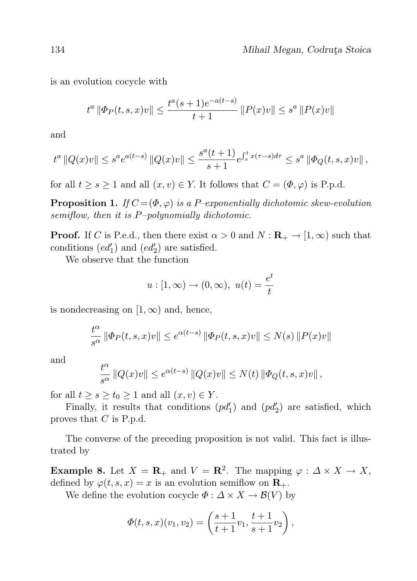is an evolution cocycle with

$$
t^{a} \|\Phi_{P}(t, s, x)v\| \leq \frac{t^{a}(s+1)e^{-a(t-s)}}{t+1} \|P(x)v\| \leq s^{a} \|P(x)v\|
$$

and

$$
t^{a} ||Q(x)v|| \leq s^{a} e^{a(t-s)} ||Q(x)v|| \leq \frac{s^{a}(t+1)}{s+1} e^{\int_{s}^{t} x(\tau-s)d\tau} \leq s^{a} ||\Phi_{Q}(t, s, x)v||,
$$

for all  $t \geq s \geq 1$  and all  $(x, v) \in Y$ . It follows that  $C = (\Phi, \varphi)$  is P.p.d.

**Proposition 1.** If  $C = (\Phi, \varphi)$  is a P-exponentially dichotomic skew-evolution semiflow, then it is P–polynomially dichotomic.

**Proof.** If C is P.e.d., then there exist  $\alpha > 0$  and  $N : \mathbb{R}_+ \to [1, \infty)$  such that conditions  $(ed'_1)$  and  $(ed'_2)$  are satisfied.

We observe that the function

$$
u: [1, \infty) \to (0, \infty), \ u(t) = \frac{e^t}{t}
$$

is nondecreasing on  $[1, \infty)$  and, hence,

$$
\frac{t^{\alpha}}{s^{\alpha}} \|\Phi_P(t, s, x)v\| \le e^{\alpha(t-s)} \|\Phi_P(t, s, x)v\| \le N(s) \|P(x)v\|
$$

and

$$
\frac{t^{\alpha}}{s^{\alpha}} \|Q(x)v\| \le e^{\alpha(t-s)} \|Q(x)v\| \le N(t) \| \Phi_Q(t,s,x)v\|,
$$

for all  $t \geq s \geq t_0 \geq 1$  and all  $(x, v) \in Y$ .

Finally, it results that conditions  $(pd'_1)$  and  $(pd'_2)$  are satisfied, which proves that  $C$  is P.p.d.

The converse of the preceding proposition is not valid. This fact is illustrated by

**Example 8.** Let  $X = \mathbb{R}_+$  and  $V = \mathbb{R}^2$ . The mapping  $\varphi : \Delta \times X \to X$ , defined by  $\varphi(t, s, x) = x$  is an evolution semiflow on  $\mathbf{R}_{+}$ .

We define the evolution cocycle  $\Phi : \Delta \times X \to \mathcal{B}(V)$  by

$$
\Phi(t,s,x)(v_1,v_2) = \left(\frac{s+1}{t+1}v_1, \frac{t+1}{s+1}v_2\right),\,
$$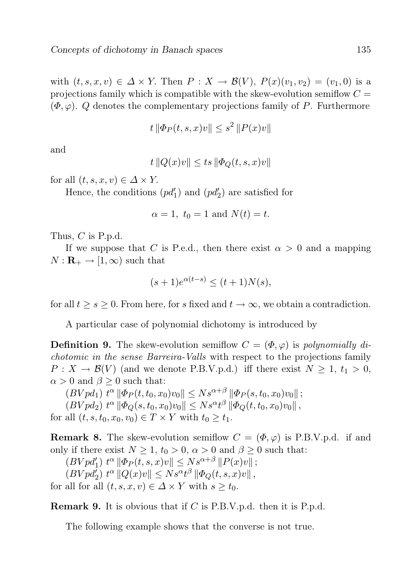with  $(t, s, x, v) \in \Delta \times Y$ . Then  $P: X \to \mathcal{B}(V)$ ,  $P(x)(v_1, v_2) = (v_1, 0)$  is a projections family which is compatible with the skew-evolution semiflow  $C =$  $(\Phi, \varphi)$ . Q denotes the complementary projections family of P. Furthermore

$$
t \|\Phi_P(t, s, x)v\| \le s^2 \, \|P(x)v\|
$$

and

 $t \|Q(x)v\| \leq ts \| \Phi_{\Omega}(t, s, x)v\|$ 

for all  $(t, s, x, v) \in \Delta \times Y$ .

Hence, the conditions  $(pd'_1)$  and  $(pd'_2)$  are satisfied for

$$
\alpha = 1, t_0 = 1 \text{ and } N(t) = t.
$$

Thus,  $C$  is P.p.d.

If we suppose that C is P.e.d., then there exist  $\alpha > 0$  and a mapping  $N: \mathbf{R}_{+} \to [1, \infty)$  such that

$$
(s+1)e^{\alpha(t-s)} \le (t+1)N(s),
$$

for all  $t \geq s \geq 0$ . From here, for s fixed and  $t \to \infty$ , we obtain a contradiction.

A particular case of polynomial dichotomy is introduced by

**Definition 9.** The skew-evolution semiflow  $C = (\Phi, \varphi)$  is polynomially dichotomic in the sense Barreira-Valls with respect to the projections family  $P: X \to \mathcal{B}(V)$  (and we denote P.B.V.p.d.) iff there exist  $N \geq 1, t_1 > 0$ ,  $\alpha > 0$  and  $\beta \geq 0$  such that:

 $(BVpd_1)$  t<sup> $\alpha$ </sup>  $\|\Phi_P(t, t_0, x_0)v_0\| \leq Ns^{\alpha+\beta} \|\Phi_P(s, t_0, x_0)v_0\|$ ;  $(BVpd_2) t^{\alpha} \|\Phi_Q(s, t_0, x_0)v_0\| \leq Ns^{\alpha}t^{\beta} \|\Phi_Q(t, t_0, x_0)v_0\|$ 

for all  $(t, s, t_0, x_0, v_0) \in T \times Y$  with  $t_0 \geq t_1$ .

**Remark 8.** The skew-evolution semiflow  $C = (\Phi, \varphi)$  is P.B.V.p.d. if and only if there exist  $N \geq 1$ ,  $t_0 > 0$ ,  $\alpha > 0$  and  $\beta \geq 0$  such that:

- $(BVpd_1') t^{\alpha} \|\Phi_P(t, s, x)v\| \leq N s^{\alpha+\beta} \|P(x)v\|$ ;
- $(BVpd_2') t^{\alpha} ||Q(x)v|| \leq Ns^{\alpha}t^{\beta} ||\Phi_Q(t,s,x)v||$ ,
- for all for all  $(t, s, x, v) \in \Delta \times Y$  with  $s \geq t_0$ .

**Remark 9.** It is obvious that if C is P.B.V.p.d. then it is P.p.d.

The following example shows that the converse is not true.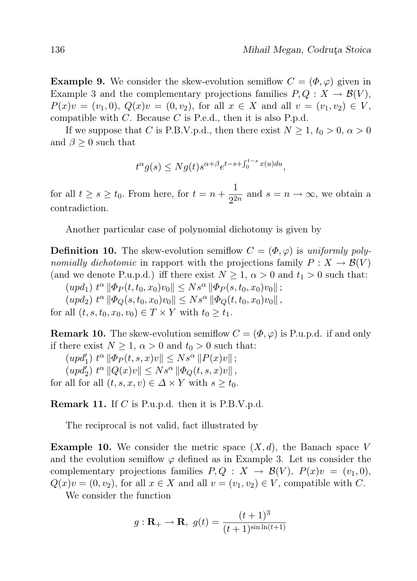**Example 9.** We consider the skew-evolution semiflow  $C = (\Phi, \varphi)$  given in Example 3 and the complementary projections families  $P, Q: X \to \mathcal{B}(V)$ ,  $P(x)v = (v_1, 0), Q(x)v = (0, v_2),$  for all  $x \in X$  and all  $v = (v_1, v_2) \in V$ , compatible with  $C$ . Because  $C$  is P.e.d., then it is also P.p.d.

If we suppose that C is P.B.V.p.d., then there exist  $N \ge 1$ ,  $t_0 > 0$ ,  $\alpha > 0$ and  $\beta \geq 0$  such that

$$
t^{\alpha}g(s) \le Ng(t)s^{\alpha+\beta}e^{t-s+\int_0^{t-s}x(u)du},
$$

for all  $t \geq s \geq t_0$ . From here, for  $t = n + \frac{1}{2^2}$  $\frac{1}{2^{2n}}$  and  $s = n \to \infty$ , we obtain a contradiction.

Another particular case of polynomial dichotomy is given by

**Definition 10.** The skew-evolution semiflow  $C = (\Phi, \varphi)$  is uniformly polynomially dichotomic in rapport with the projections family  $P: X \to \mathcal{B}(V)$ (and we denote P.u.p.d.) iff there exist  $N \geq 1$ ,  $\alpha > 0$  and  $t_1 > 0$  such that:

 $(upd_1) t^{\alpha} \|\Phi_P(t, t_0, x_0)v_0\| \leq Ns^{\alpha} \|\Phi_P(s, t_0, x_0)v_0\|$ ;  $(upd_2) t^{\alpha} \|\Phi_Q(s, t_0, x_0)v_0\| \leq Ns^{\alpha} \|\Phi_Q(t, t_0, x_0)v_0\|$ 

for all  $(t, s, t_0, x_0, v_0) \in T \times Y$  with  $t_0 \geq t_1$ .

**Remark 10.** The skew-evolution semiflow  $C = (\Phi, \varphi)$  is P.u.p.d. if and only if there exist  $N \geq 1$ ,  $\alpha > 0$  and  $t_0 > 0$  such that:

 $(upd'_1) t^{\alpha} \|\Phi_P(t,s,x)v\| \leq Ns^{\alpha} \|P(x)v\|$ ;  $\label{eq:2.1} (\operatorname{upd}_2')\ t^{\alpha}\left\|Q(x)v\right\|\leq Ns^{\alpha}\left\|\varPhi_Q(t,s,x)v\right\|,$ for all for all  $(t, s, x, v) \in \Delta \times Y$  with  $s \geq t_0$ .

**Remark 11.** If C is P.u.p.d. then it is P.B.V.p.d.

The reciprocal is not valid, fact illustrated by

**Example 10.** We consider the metric space  $(X, d)$ , the Banach space V and the evolution semiflow  $\varphi$  defined as in Example 3. Let us consider the complementary projections families  $P, Q : X \rightarrow \mathcal{B}(V)$ ,  $P(x)v = (v_1, 0)$ ,  $Q(x)v = (0, v_2)$ , for all  $x \in X$  and all  $v = (v_1, v_2) \in V$ , compatible with C.

We consider the function

$$
g: \mathbf{R}_{+} \to \mathbf{R}, g(t) = \frac{(t+1)^{3}}{(t+1)^{\sin \ln(t+1)}}
$$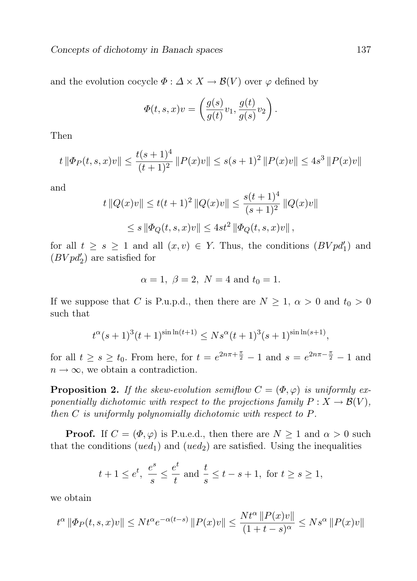and the evolution cocycle  $\Phi : \Delta \times X \to \mathcal{B}(V)$  over  $\varphi$  defined by

$$
\Phi(t,s,x)v = \left(\frac{g(s)}{g(t)}v_1, \frac{g(t)}{g(s)}v_2\right).
$$

Then

$$
t \|\Phi_P(t,s,x)v\| \le \frac{t(s+1)^4}{(t+1)^2} \|P(x)v\| \le s(s+1)^2 \|P(x)v\| \le 4s^3 \|P(x)v\|
$$

and

$$
t ||Q(x)v|| \le t(t+1)^2 ||Q(x)v|| \le \frac{s(t+1)^4}{(s+1)^2} ||Q(x)v||
$$
  

$$
\le s ||\Phi_Q(t,s,x)v|| \le 4st^2 ||\Phi_Q(t,s,x)v||,
$$

for all  $t \geq s \geq 1$  and all  $(x, v) \in Y$ . Thus, the conditions  $(BVpd_1')$  and  $\left(BVpd_2'\right)$  are satisfied for

$$
\alpha = 1, \ \beta = 2, \ N = 4 \text{ and } t_0 = 1.
$$

If we suppose that C is P.u.p.d., then there are  $N \geq 1$ ,  $\alpha > 0$  and  $t_0 > 0$ such that

$$
t^{\alpha}(s+1)^3(t+1)^{\sin\ln(t+1)} \leq Ns^{\alpha}(t+1)^3(s+1)^{\sin\ln(s+1)},
$$

for all  $t \geq s \geq t_0$ . From here, for  $t = e^{2n\pi + \frac{\pi}{2}} - 1$  and  $s = e^{2n\pi - \frac{\pi}{2}} - 1$  and  $n \to \infty$ , we obtain a contradiction.

**Proposition 2.** If the skew-evolution semiflow  $C = (\Phi, \varphi)$  is uniformly exponentially dichotomic with respect to the projections family  $P: X \to \mathcal{B}(V)$ , then C is uniformly polynomially dichotomic with respect to P.

**Proof.** If  $C = (\Phi, \varphi)$  is P.u.e.d., then there are  $N \geq 1$  and  $\alpha > 0$  such that the conditions (ued<sub>1</sub>) and (ued<sub>2</sub>) are satisfied. Using the inequalities

$$
t+1\leq e^t,\ \frac{e^s}{s}\leq \frac{e^t}{t} \text{ and } \frac{t}{s}\leq t-s+1, \text{ for } t\geq s\geq 1,
$$

we obtain

$$
t^\alpha\left\|\varPhi_P(t,s,x)v\right\|\leq Nt^\alpha e^{-\alpha(t-s)}\left\|P(x)v\right\|\leq \dfrac{Nt^\alpha\left\|P(x)v\right\|}{(1+t-s)^\alpha}\leq Ns^\alpha\left\|P(x)v\right\|
$$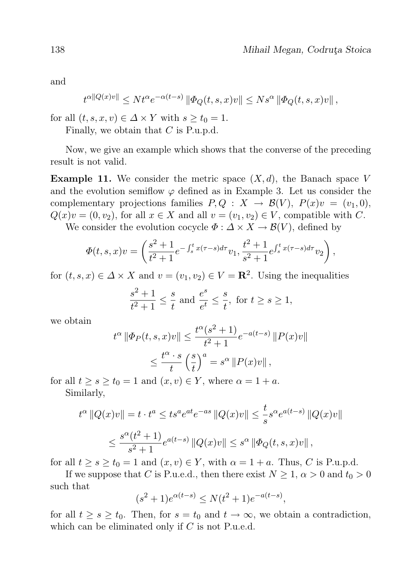and

$$
t^{\alpha\|Q(x)v\|} \le Nt^{\alpha}e^{-\alpha(t-s)}\left\|\Phi_Q(t,s,x)v\right\| \le Ns^{\alpha}\left\|\Phi_Q(t,s,x)v\right\|,
$$

for all  $(t, s, x, v) \in \Delta \times Y$  with  $s \geq t_0 = 1$ .

Finally, we obtain that  $C$  is P.u.p.d.

Now, we give an example which shows that the converse of the preceding result is not valid.

**Example 11.** We consider the metric space  $(X, d)$ , the Banach space V and the evolution semiflow  $\varphi$  defined as in Example 3. Let us consider the complementary projections families  $P, Q : X \rightarrow \mathcal{B}(V), P(x)v = (v_1, 0),$  $Q(x)v = (0, v_2)$ , for all  $x \in X$  and all  $v = (v_1, v_2) \in V$ , compatible with C.

We consider the evolution cocycle  $\Phi : \Delta \times X \to \mathcal{B}(V)$ , defined by

$$
\Phi(t,s,x)v = \left(\frac{s^2+1}{t^2+1}e^{-\int_s^t x(\tau-s)d\tau}v_1, \frac{t^2+1}{s^2+1}e^{\int_s^t x(\tau-s)d\tau}v_2\right),
$$

for  $(t, s, x) \in \Delta \times X$  and  $v = (v_1, v_2) \in V = \mathbb{R}^2$ . Using the inequalities

$$
\frac{s^2+1}{t^2+1} \le \frac{s}{t} \text{ and } \frac{e^s}{e^t} \le \frac{s}{t}, \text{ for } t \ge s \ge 1,
$$

we obtain

$$
t^{\alpha} \|\Phi_P(t,s,x)v\| \le \frac{t^{\alpha}(s^2+1)}{t^2+1} e^{-a(t-s)} \|P(x)v\|
$$
  

$$
\le \frac{t^{\alpha} \cdot s}{t} \left(\frac{s}{t}\right)^a = s^{\alpha} \|P(x)v\|,
$$

for all  $t \geq s \geq t_0 = 1$  and  $(x, v) \in Y$ , where  $\alpha = 1 + a$ .

Similarly,

$$
t^{\alpha} ||Q(x)v|| = t \cdot t^{a} \le ts^{a}e^{at}e^{-as} ||Q(x)v|| \le \frac{t}{s}s^{\alpha}e^{a(t-s)} ||Q(x)v||
$$
  

$$
\le \frac{s^{\alpha}(t^{2}+1)}{s^{2}+1}e^{a(t-s)} ||Q(x)v|| \le s^{\alpha} ||\Phi_{Q}(t,s,x)v||,
$$

for all  $t \ge s \ge t_0 = 1$  and  $(x, v) \in Y$ , with  $\alpha = 1 + a$ . Thus, C is P.u.p.d.

If we suppose that C is P.u.e.d., then there exist  $N \geq 1$ ,  $\alpha > 0$  and  $t_0 > 0$ such that

$$
(s2 + 1)e\alpha(t-s) \le N(t2 + 1)e-a(t-s),
$$

for all  $t \geq s \geq t_0$ . Then, for  $s = t_0$  and  $t \to \infty$ , we obtain a contradiction, which can be eliminated only if  $C$  is not P.u.e.d.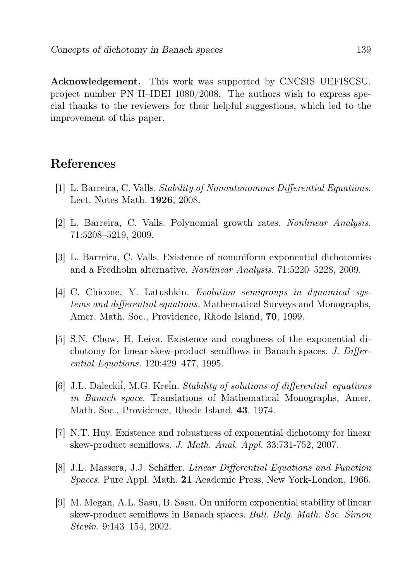Acknowledgement. This work was supported by CNCSIS–UEFISCSU, project number PN II–IDEI 1080/2008. The authors wish to express special thanks to the reviewers for their helpful suggestions, which led to the improvement of this paper.

## References

- [1] L. Barreira, C. Valls. Stability of Nonautonomous Differential Equations. Lect. Notes Math. 1926, 2008.
- [2] L. Barreira, C. Valls. Polynomial growth rates. Nonlinear Analysis. 71:5208–5219, 2009.
- [3] L. Barreira, C. Valls. Existence of nonuniform exponential dichotomies and a Fredholm alternative. Nonlinear Analysis. 71:5220–5228, 2009.
- [4] C. Chicone, Y. Latushkin. Evolution semigroups in dynamical systems and differential equations. Mathematical Surveys and Monographs, Amer. Math. Soc., Providence, Rhode Island, 70, 1999.
- [5] S.N. Chow, H. Leiva. Existence and roughness of the exponential dichotomy for linear skew-product semiflows in Banach spaces. J. Differential Equations. 120:429–477, 1995.
- [6] J.L. Daleckiı̆, M.G. Kreı̆n. Stability of solutions of differential equations in Banach space. Translations of Mathematical Monographs, Amer. Math. Soc., Providence, Rhode Island, 43, 1974.
- [7] N.T. Huy. Existence and robustness of exponential dichotomy for linear skew-product semiflows. J. Math. Anal. Appl. 33:731-752, 2007.
- [8] J.L. Massera, J.J. Schäffer. Linear Differential Equations and Function Spaces. Pure Appl. Math. 21 Academic Press, New York-London, 1966.
- [9] M. Megan, A.L. Sasu, B. Sasu. On uniform exponential stability of linear skew-product semiflows in Banach spaces. Bull. Belg. Math. Soc. Simon Stevin. 9:143–154, 2002.